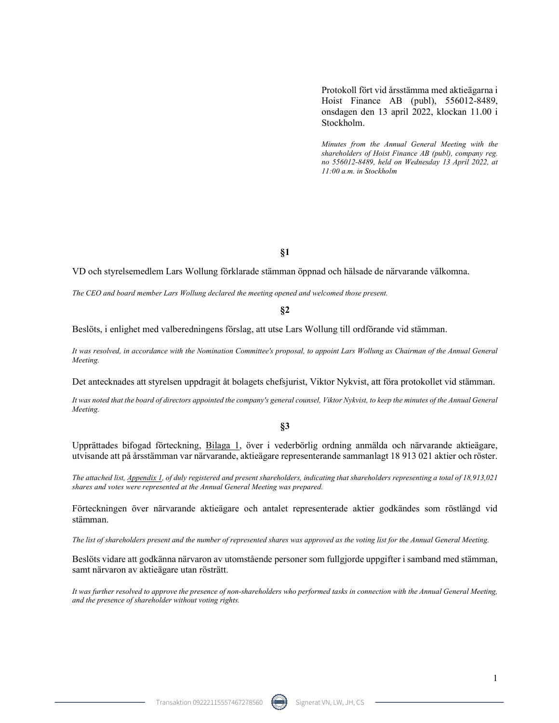Protokoll fört vid årsstämma med aktieägarna i Hoist Finance AB (publ), 556012-8489, onsdagen den 13 april 2022, klockan 11.00 i Stockholm.

Minutes from the Annual General Meeting with the shareholders of Hoist Finance AB (publ), company reg. no 556012-8489, held on Wednesday 13 April 2022, at 11:00 a.m. in Stockholm

§1

VD och styrelsemedlem Lars Wollung förklarade stämman öppnad och hälsade de närvarande välkomna.

The CEO and board member Lars Wollung declared the meeting opened and welcomed those present.

§2

Beslöts, i enlighet med valberedningens förslag, att utse Lars Wollung till ordförande vid stämman.

It was resolved, in accordance with the Nomination Committee's proposal, to appoint Lars Wollung as Chairman of the Annual General Meeting.

Det antecknades att styrelsen uppdragit åt bolagets chefsjurist, Viktor Nykvist, att föra protokollet vid stämman.

It was noted that the board of directors appointed the company's general counsel, Viktor Nykvist, to keep the minutes of the Annual General Meeting.

§3

Upprättades bifogad förteckning, Bilaga 1, över i vederbörlig ordning anmälda och närvarande aktieägare, utvisande att på årsstämman var närvarande, aktieägare representerande sammanlagt 18 913 021 aktier och röster.

The attached list, Appendix 1, of duly registered and present shareholders, indicating that shareholders representing a total of 18,913,021 shares and votes were represented at the Annual General Meeting was prepared.

Förteckningen över närvarande aktieägare och antalet representerade aktier godkändes som röstlängd vid stämman.

The list of shareholders present and the number of represented shares was approved as the voting list for the Annual General Meeting.

Beslöts vidare att godkänna närvaron av utomstående personer som fullgjorde uppgifter i samband med stämman, samt närvaron av aktieägare utan rösträtt.

It was further resolved to approve the presence of non-shareholders who performed tasks in connection with the Annual General Meeting, and the presence of shareholder without voting rights.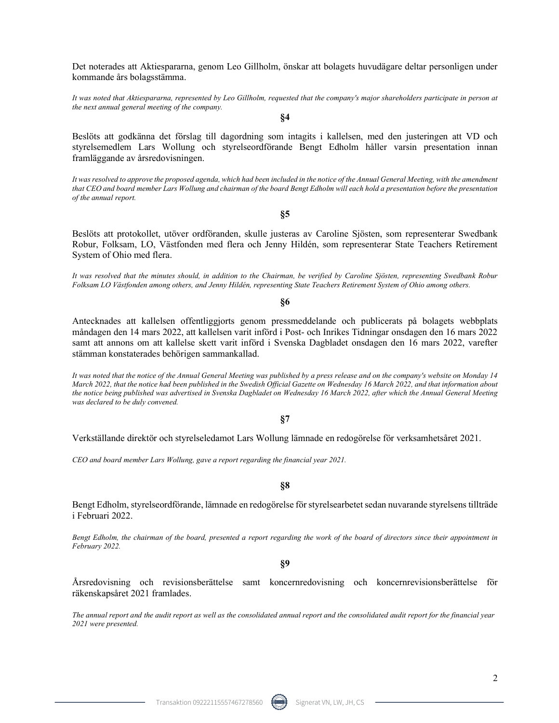Det noterades att Aktiespararna, genom Leo Gillholm, önskar att bolagets huvudägare deltar personligen under kommande års bolagsstämma.

It was noted that Aktiespararna, represented by Leo Gillholm, requested that the company's major shareholders participate in person at the next annual general meeting of the company. §4

Beslöts att godkänna det förslag till dagordning som intagits i kallelsen, med den justeringen att VD och styrelsemedlem Lars Wollung och styrelseordförande Bengt Edholm håller varsin presentation innan framläggande av årsredovisningen.

It was resolved to approve the proposed agenda, which had been included in the notice of the Annual General Meeting, with the amendment that CEO and board member Lars Wollung and chairman of the board Bengt Edholm will each hold a presentation before the presentation of the annual report.

§5

Beslöts att protokollet, utöver ordföranden, skulle justeras av Caroline Sjösten, som representerar Swedbank Robur, Folksam, LO, Västfonden med flera och Jenny Hildén, som representerar State Teachers Retirement System of Ohio med flera.

It was resolved that the minutes should, in addition to the Chairman, be verified by Caroline Sjösten, representing Swedbank Robur Folksam LO Västfonden among others, and Jenny Hildén, representing State Teachers Retirement System of Ohio among others.

§6

Antecknades att kallelsen offentliggjorts genom pressmeddelande och publicerats på bolagets webbplats måndagen den 14 mars 2022, att kallelsen varit införd i Post- och Inrikes Tidningar onsdagen den 16 mars 2022 samt att annons om att kallelse skett varit införd i Svenska Dagbladet onsdagen den 16 mars 2022, varefter stämman konstaterades behörigen sammankallad.

It was noted that the notice of the Annual General Meeting was published by a press release and on the company's website on Monday 14 March 2022, that the notice had been published in the Swedish Official Gazette on Wednesday 16 March 2022, and that information about the notice being published was advertised in Svenska Dagbladet on Wednesday 16 March 2022, after which the Annual General Meeting was declared to be duly convened.

§7

Verkställande direktör och styrelseledamot Lars Wollung lämnade en redogörelse för verksamhetsåret 2021.

CEO and board member Lars Wollung, gave a report regarding the financial year 2021.

§8

Bengt Edholm, styrelseordförande, lämnade en redogörelse för styrelsearbetet sedan nuvarande styrelsens tillträde i Februari 2022.

Bengt Edholm, the chairman of the board, presented a report regarding the work of the board of directors since their appointment in February 2022.

§9

Årsredovisning och revisionsberättelse samt koncernredovisning och koncernrevisionsberättelse för räkenskapsåret 2021 framlades.

The annual report and the audit report as well as the consolidated annual report and the consolidated audit report for the financial year 2021 were presented.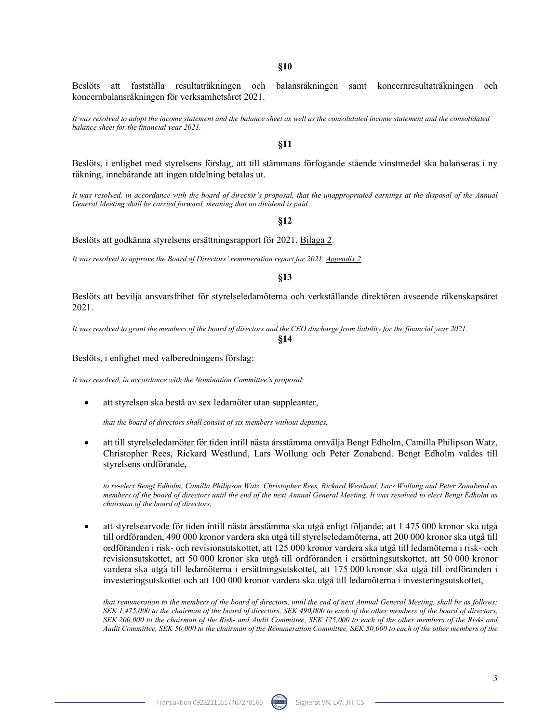§10

Beslöts att fastställa resultaträkningen och balansräkningen samt koncernresultaträkningen och koncernbalansräkningen för verksamhetsåret 2021.

It was resolved to adopt the income statement and the balance sheet as well as the consolidated income statement and the consolidated balance sheet for the financial year 2021.

§11

Beslöts, i enlighet med styrelsens förslag, att till stämmans förfogande stående vinstmedel ska balanseras i ny räkning, innebärande att ingen utdelning betalas ut.

It was resolved, in accordance with the board of director's proposal, that the unappropriated earnings at the disposal of the Annual General Meeting shall be carried forward, meaning that no dividend is paid.

§12

Beslöts att godkänna styrelsens ersättningsrapport för 2021, Bilaga 2.

It was resolved to approve the Board of Directors' remuneration report for 2021, Appendix 2.

§13

Beslöts att bevilja ansvarsfrihet för styrelseledamöterna och verkställande direktören avseende räkenskapsåret 2021.

It was resolved to grant the members of the board of directors and the CEO discharge from liability for the financial year 2021.

§14

Beslöts, i enlighet med valberedningens förslag:

It was resolved, in accordance with the Nomination Committee's proposal:

att styrelsen ska bestå av sex ledamöter utan suppleanter,

that the board of directors shall consist of six members without deputies,

 att till styrelseledamöter för tiden intill nästa årsstämma omvälja Bengt Edholm, Camilla Philipson Watz, Christopher Rees, Rickard Westlund, Lars Wollung och Peter Zonabend. Bengt Edholm valdes till styrelsens ordförande,

to re-elect Bengt Edholm, Camilla Philipson Watz, Christopher Rees, Rickard Westlund, Lars Wollung and Peter Zonabend as members of the board of directors until the end of the next Annual General Meeting. It was resolved to elect Bengt Edholm as chairman of the board of directors,

 att styrelsearvode för tiden intill nästa årsstämma ska utgå enligt följande; att 1 475 000 kronor ska utgå till ordföranden, 490 000 kronor vardera ska utgå till styrelseledamöterna, att 200 000 kronor ska utgå till ordföranden i risk- och revisionsutskottet, att 125 000 kronor vardera ska utgå till ledamöterna i risk- och revisionsutskottet, att 50 000 kronor ska utgå till ordföranden i ersättningsutskottet, att 50 000 kronor vardera ska utgå till ledamöterna i ersättningsutskottet, att 175 000 kronor ska utgå till ordföranden i investeringsutskottet och att 100 000 kronor vardera ska utgå till ledamöterna i investeringsutskottet,

that remuneration to the members of the board of directors, until the end of next Annual General Meeting, shall be as follows; SEK 1,475,000 to the chairman of the board of directors, SEK 490,000 to each of the other members of the board of directors, SEK 200,000 to the chairman of the Risk- and Audit Committee, SEK 125,000 to each of the other members of the Risk- and Audit Committee, SEK 50,000 to the chairman of the Remuneration Committee, SEK 50,000 to each of the other members of the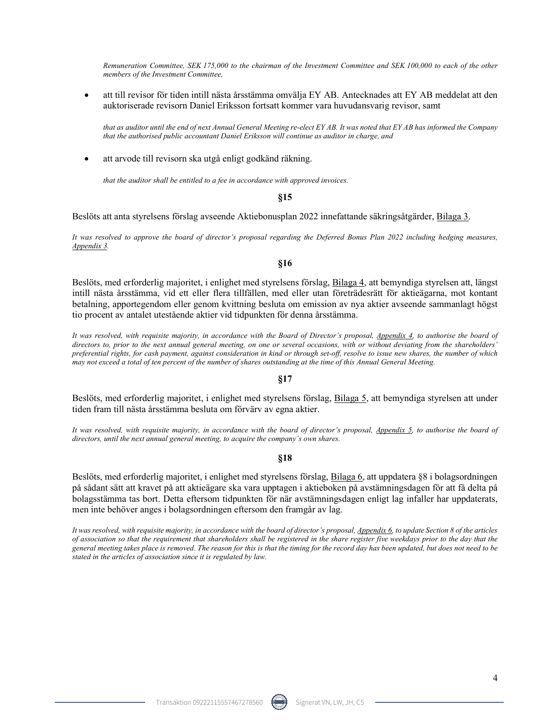Remuneration Committee, SEK 175,000 to the chairman of the Investment Committee and SEK 100,000 to each of the other members of the Investment Committee,

 att till revisor för tiden intill nästa årsstämma omvälja EY AB. Antecknades att EY AB meddelat att den auktoriserade revisorn Daniel Eriksson fortsatt kommer vara huvudansvarig revisor, samt

that as auditor until the end of next Annual General Meeting re-elect EY AB. It was noted that EY AB has informed the Company that the authorised public accountant Daniel Eriksson will continue as auditor in charge, and

att arvode till revisorn ska utgå enligt godkänd räkning.

that the auditor shall be entitled to a fee in accordance with approved invoices.

§15

Beslöts att anta styrelsens förslag avseende Aktiebonusplan 2022 innefattande säkringsåtgärder, Bilaga 3.

It was resolved to approve the board of director's proposal regarding the Deferred Bonus Plan 2022 including hedging measures, Appendix 3.

## §16

Beslöts, med erforderlig majoritet, i enlighet med styrelsens förslag, Bilaga 4, att bemyndiga styrelsen att, längst intill nästa årsstämma, vid ett eller flera tillfällen, med eller utan företrädesrätt för aktieägarna, mot kontant betalning, apportegendom eller genom kvittning besluta om emission av nya aktier avseende sammanlagt högst tio procent av antalet utestående aktier vid tidpunkten för denna årsstämma.

It was resolved, with requisite majority, in accordance with the Board of Director's proposal, Appendix 4, to authorise the board of directors to, prior to the next annual general meeting, on one or several occasions, with or without deviating from the shareholders' preferential rights, for cash payment, against consideration in kind or through set-off, resolve to issue new shares, the number of which may not exceed a total of ten percent of the number of shares outstanding at the time of this Annual General Meeting.

## §17

Beslöts, med erforderlig majoritet, i enlighet med styrelsens förslag, Bilaga 5, att bemyndiga styrelsen att under tiden fram till nästa årsstämma besluta om förvärv av egna aktier.

It was resolved, with requisite majority, in accordance with the board of director's proposal, Appendix 5, to authorise the board of directors, until the next annual general meeting, to acquire the company's own shares.

## §18

Beslöts, med erforderlig majoritet, i enlighet med styrelsens förslag, Bilaga 6, att uppdatera §8 i bolagsordningen på sådant sätt att kravet på att aktieägare ska vara upptagen i aktieboken på avstämningsdagen för att få delta på bolagsstämma tas bort. Detta eftersom tidpunkten för när avstämningsdagen enligt lag infaller har uppdaterats, men inte behöver anges i bolagsordningen eftersom den framgår av lag.

It was resolved, with requisite majority, in accordance with the board of director's proposal, Appendix 6, to update Section 8 of the articles of association so that the requirement that shareholders shall be registered in the share register five weekdays prior to the day that the general meeting takes place is removed. The reason for this is that the timing for the record day has been updated, but does not need to be stated in the articles of association since it is regulated by law.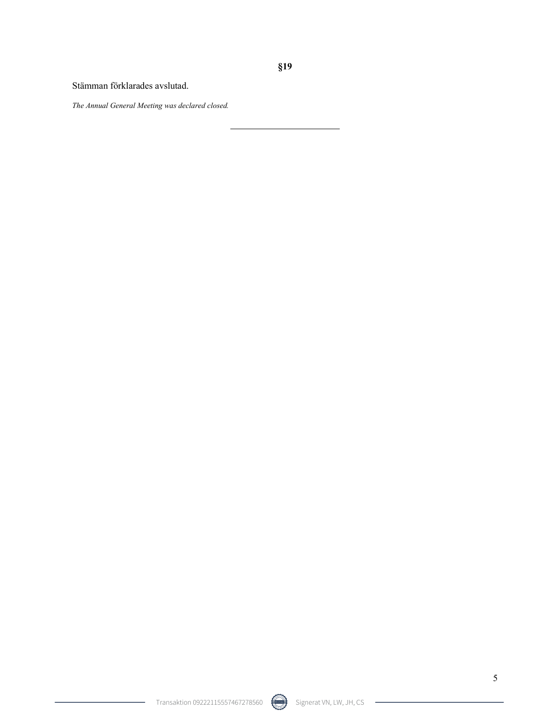§19

 $\overline{a}$ 

Stämman förklarades avslutad.

The Annual General Meeting was declared closed.